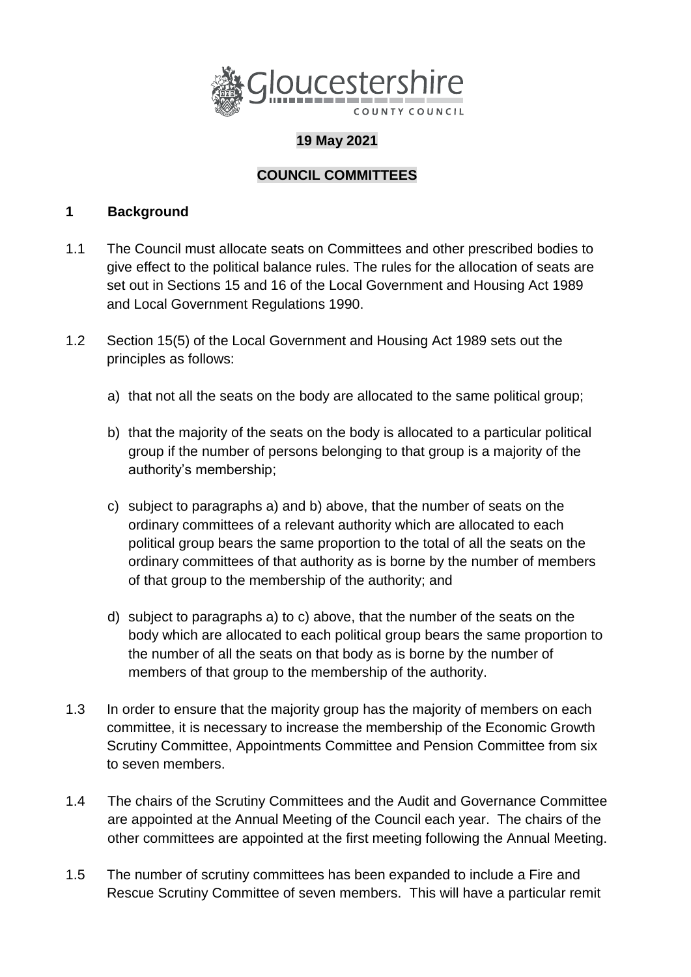

# **19 May 2021**

# **COUNCIL COMMITTEES**

#### **1 Background**

- 1.1 The Council must allocate seats on Committees and other prescribed bodies to give effect to the political balance rules. The rules for the allocation of seats are set out in Sections 15 and 16 of the Local Government and Housing Act 1989 and Local Government Regulations 1990.
- 1.2 Section 15(5) of the Local Government and Housing Act 1989 sets out the principles as follows:
	- a) that not all the seats on the body are allocated to the same political group;
	- b) that the majority of the seats on the body is allocated to a particular political group if the number of persons belonging to that group is a majority of the authority's membership;
	- c) subject to paragraphs a) and b) above, that the number of seats on the ordinary committees of a relevant authority which are allocated to each political group bears the same proportion to the total of all the seats on the ordinary committees of that authority as is borne by the number of members of that group to the membership of the authority; and
	- d) subject to paragraphs a) to c) above, that the number of the seats on the body which are allocated to each political group bears the same proportion to the number of all the seats on that body as is borne by the number of members of that group to the membership of the authority.
- 1.3 In order to ensure that the majority group has the majority of members on each committee, it is necessary to increase the membership of the Economic Growth Scrutiny Committee, Appointments Committee and Pension Committee from six to seven members.
- 1.4 The chairs of the Scrutiny Committees and the Audit and Governance Committee are appointed at the Annual Meeting of the Council each year. The chairs of the other committees are appointed at the first meeting following the Annual Meeting.
- 1.5 The number of scrutiny committees has been expanded to include a Fire and Rescue Scrutiny Committee of seven members. This will have a particular remit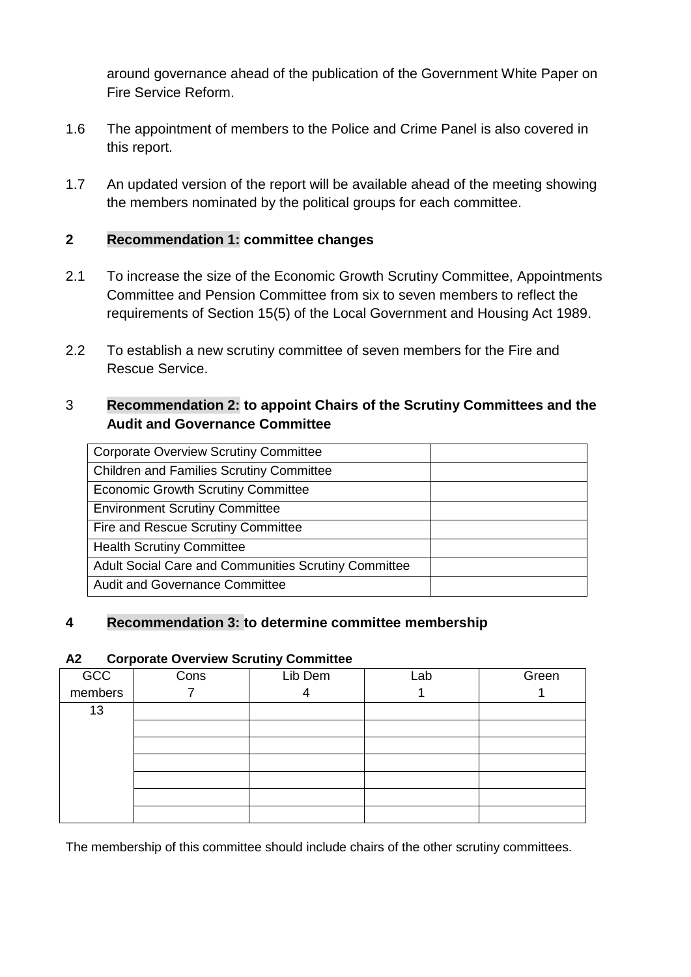around governance ahead of the publication of the Government White Paper on Fire Service Reform.

- 1.6 The appointment of members to the Police and Crime Panel is also covered in this report.
- 1.7 An updated version of the report will be available ahead of the meeting showing the members nominated by the political groups for each committee.

## **2 Recommendation 1: committee changes**

- 2.1 To increase the size of the Economic Growth Scrutiny Committee, Appointments Committee and Pension Committee from six to seven members to reflect the requirements of Section 15(5) of the Local Government and Housing Act 1989.
- 2.2 To establish a new scrutiny committee of seven members for the Fire and Rescue Service.

## 3 **Recommendation 2: to appoint Chairs of the Scrutiny Committees and the Audit and Governance Committee**

| <b>Corporate Overview Scrutiny Committee</b>         |  |
|------------------------------------------------------|--|
| <b>Children and Families Scrutiny Committee</b>      |  |
| <b>Economic Growth Scrutiny Committee</b>            |  |
| <b>Environment Scrutiny Committee</b>                |  |
| Fire and Rescue Scrutiny Committee                   |  |
| <b>Health Scrutiny Committee</b>                     |  |
| Adult Social Care and Communities Scrutiny Committee |  |
| <b>Audit and Governance Committee</b>                |  |

#### **4 Recommendation 3: to determine committee membership**

#### **A2 Corporate Overview Scrutiny Committee**

| GCC<br>members | Cons | Lib Dem | Lab | Green |
|----------------|------|---------|-----|-------|
|                |      |         |     |       |
| 13             |      |         |     |       |
|                |      |         |     |       |
|                |      |         |     |       |
|                |      |         |     |       |
|                |      |         |     |       |
|                |      |         |     |       |
|                |      |         |     |       |

The membership of this committee should include chairs of the other scrutiny committees.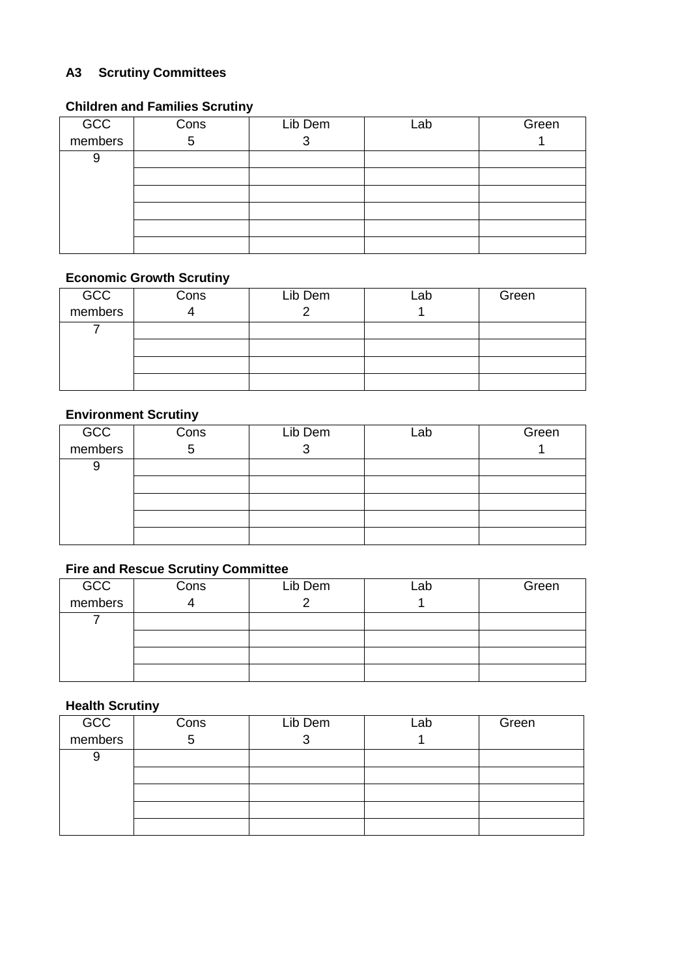# **A3 Scrutiny Committees**

## **Children and Families Scrutiny**

| GCC<br>members | Cons | Lib Dem | Lab | Green |
|----------------|------|---------|-----|-------|
|                | 5    |         |     |       |
| 9              |      |         |     |       |
|                |      |         |     |       |
|                |      |         |     |       |
|                |      |         |     |       |
|                |      |         |     |       |
|                |      |         |     |       |

#### **Economic Growth Scrutiny**

| GCC<br>members | Cons | Lib Dem | Lab | Green |
|----------------|------|---------|-----|-------|
|                |      |         |     |       |
|                |      |         |     |       |
|                |      |         |     |       |
|                |      |         |     |       |
|                |      |         |     |       |

## **Environment Scrutiny**

| GCC<br>members | Cons | Lib Dem | Lab | Green |
|----------------|------|---------|-----|-------|
|                | 5    |         |     |       |
| 9              |      |         |     |       |
|                |      |         |     |       |
|                |      |         |     |       |
|                |      |         |     |       |
|                |      |         |     |       |

## **Fire and Rescue Scrutiny Committee**

| GCC<br>members | Cons | Lib Dem | _ab | Green |
|----------------|------|---------|-----|-------|
|                |      |         |     |       |
|                |      |         |     |       |
|                |      |         |     |       |
|                |      |         |     |       |
|                |      |         |     |       |

### **Health Scrutiny**

| GCC<br>members | Cons | Lib Dem | ∟ab | Green |
|----------------|------|---------|-----|-------|
|                | 5    |         |     |       |
|                |      |         |     |       |
|                |      |         |     |       |
|                |      |         |     |       |
|                |      |         |     |       |
|                |      |         |     |       |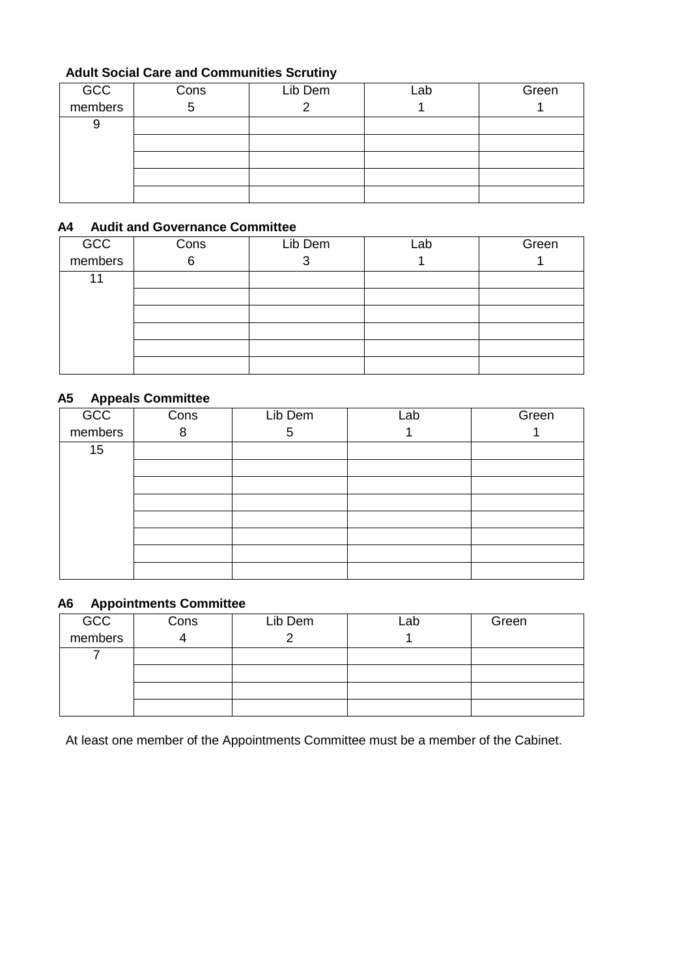## **Adult Social Care and Communities Scrutiny**

| GCC<br>members | Cons | Lib Dem | Lab | Green |
|----------------|------|---------|-----|-------|
|                | b    |         |     |       |
| 9              |      |         |     |       |
|                |      |         |     |       |
|                |      |         |     |       |
|                |      |         |     |       |
|                |      |         |     |       |

#### **A4 Audit and Governance Committee**

| GCC<br>members | Cons | Lib Dem | Lab | Green |
|----------------|------|---------|-----|-------|
|                | 6    | ◠<br>O  |     |       |
| 11             |      |         |     |       |
|                |      |         |     |       |
|                |      |         |     |       |
|                |      |         |     |       |
|                |      |         |     |       |
|                |      |         |     |       |

#### **A5 Appeals Committee**

| . .<br>GCC<br>members | Cons | Lib Dem | Lab | Green |
|-----------------------|------|---------|-----|-------|
|                       | 8    | 5       |     |       |
| 15                    |      |         |     |       |
|                       |      |         |     |       |
|                       |      |         |     |       |
|                       |      |         |     |       |
|                       |      |         |     |       |
|                       |      |         |     |       |
|                       |      |         |     |       |
|                       |      |         |     |       |

#### **A6 Appointments Committee**

| GCC     | Cons | Lib Dem | ∟ab | Green |
|---------|------|---------|-----|-------|
| members |      |         |     |       |
|         |      |         |     |       |
|         |      |         |     |       |
|         |      |         |     |       |
|         |      |         |     |       |

At least one member of the Appointments Committee must be a member of the Cabinet.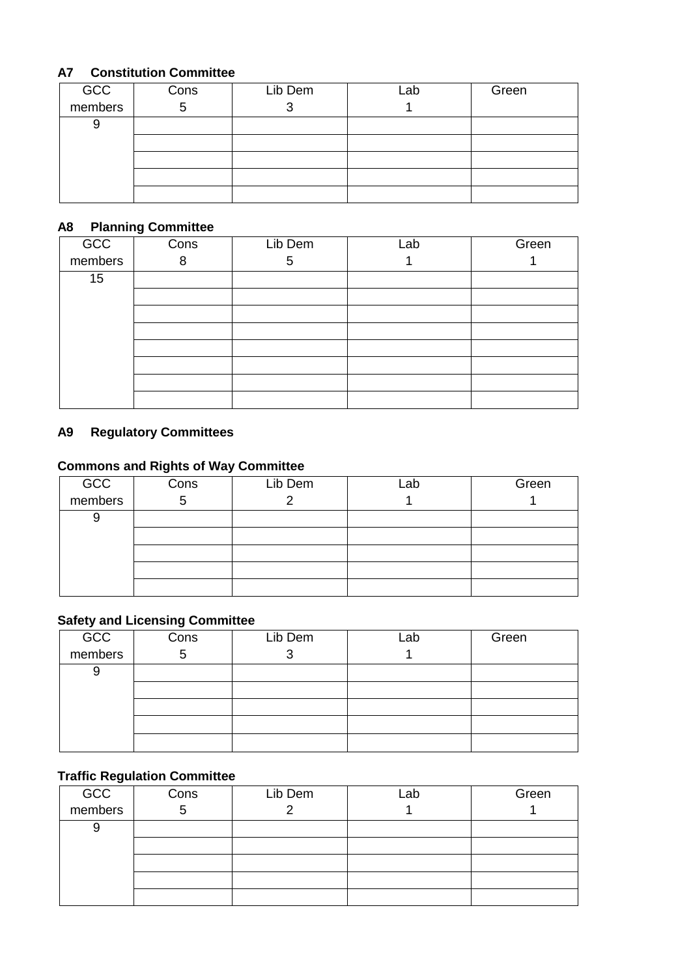## **A7 Constitution Committee**

| GCC<br>members | Cons | Lib Dem | Lab | Green |
|----------------|------|---------|-----|-------|
|                |      |         |     |       |
| g              |      |         |     |       |
|                |      |         |     |       |
|                |      |         |     |       |
|                |      |         |     |       |
|                |      |         |     |       |

#### **A8 Planning Committee**

| GCC<br>members | Cons | Lib Dem | Lab | Green |
|----------------|------|---------|-----|-------|
|                | 8    | 5       |     |       |
| 15             |      |         |     |       |
|                |      |         |     |       |
|                |      |         |     |       |
|                |      |         |     |       |
|                |      |         |     |       |
|                |      |         |     |       |
|                |      |         |     |       |
|                |      |         |     |       |

## **A9 Regulatory Committees**

# **Commons and Rights of Way Committee**

| GCC<br>members | Cons | Lib Dem | Lab | Green |
|----------------|------|---------|-----|-------|
|                | G    |         |     |       |
| 9              |      |         |     |       |
|                |      |         |     |       |
|                |      |         |     |       |
|                |      |         |     |       |
|                |      |         |     |       |

## **Safety and Licensing Committee**

| GCC<br>members | Cons | Lib Dem | Lab | Green |
|----------------|------|---------|-----|-------|
|                | b    |         |     |       |
| 9              |      |         |     |       |
|                |      |         |     |       |
|                |      |         |     |       |
|                |      |         |     |       |
|                |      |         |     |       |

## **Traffic Regulation Committee**

| GCC<br>members | Cons | Lib Dem | Lab | Green |
|----------------|------|---------|-----|-------|
|                | 5    |         |     |       |
| 9              |      |         |     |       |
|                |      |         |     |       |
|                |      |         |     |       |
|                |      |         |     |       |
|                |      |         |     |       |